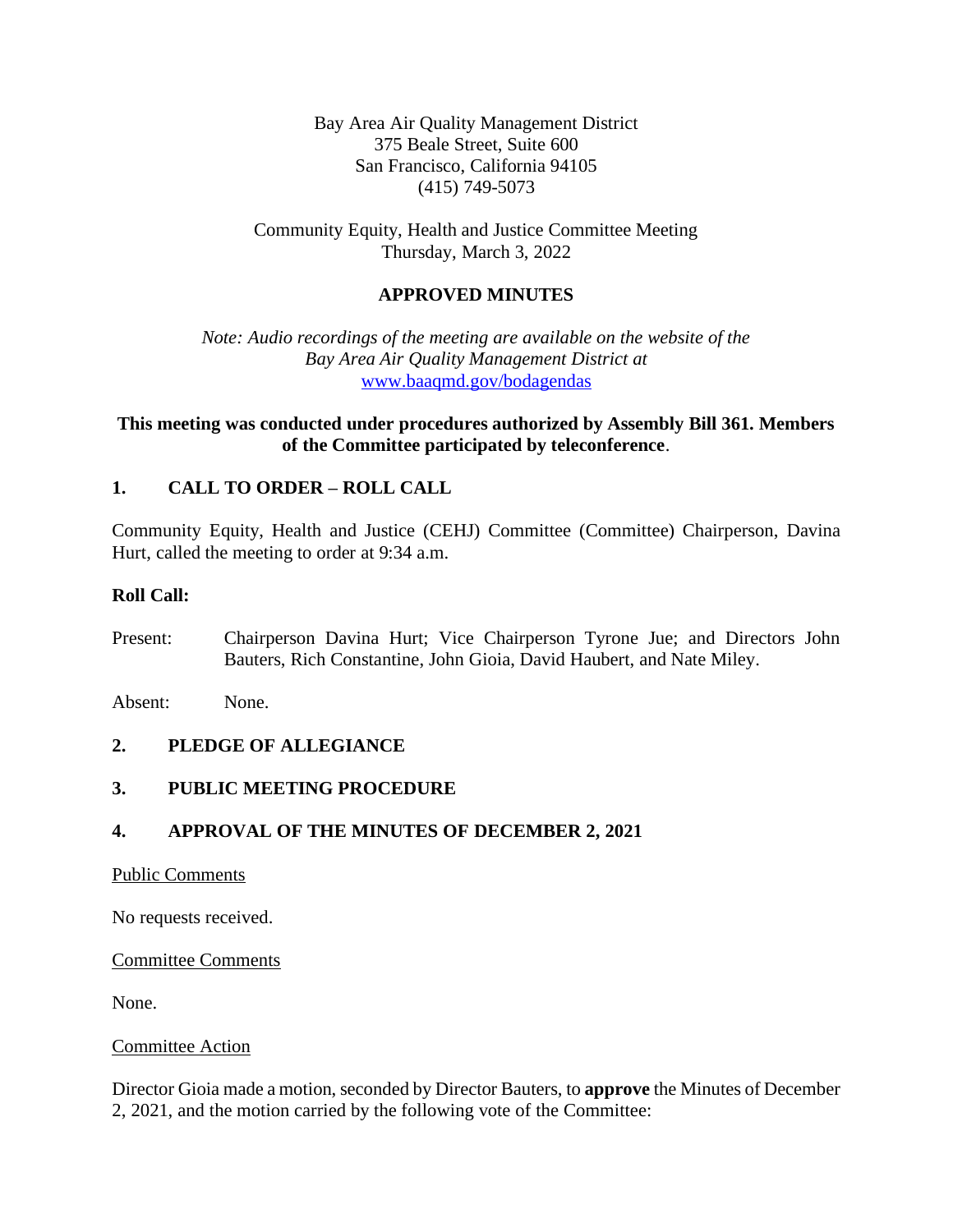Bay Area Air Quality Management District 375 Beale Street, Suite 600 San Francisco, California 94105 (415) 749-5073

Community Equity, Health and Justice Committee Meeting Thursday, March 3, 2022

## **APPROVED MINUTES**

*Note: Audio recordings of the meeting are available on the website of the Bay Area Air Quality Management District at* [www.baaqmd.gov/bodagendas](http://www.baaqmd.gov/bodagendas)

## **This meeting was conducted under procedures authorized by Assembly Bill 361. Members of the Committee participated by teleconference**.

### **1. CALL TO ORDER – ROLL CALL**

Community Equity, Health and Justice (CEHJ) Committee (Committee) Chairperson, Davina Hurt, called the meeting to order at 9:34 a.m.

### **Roll Call:**

Present: Chairperson Davina Hurt; Vice Chairperson Tyrone Jue; and Directors John Bauters, Rich Constantine, John Gioia, David Haubert, and Nate Miley.

Absent: None.

### **2. PLEDGE OF ALLEGIANCE**

### **3. PUBLIC MEETING PROCEDURE**

### **4. APPROVAL OF THE MINUTES OF DECEMBER 2, 2021**

#### Public Comments

No requests received.

Committee Comments

None.

#### Committee Action

Director Gioia made a motion, seconded by Director Bauters, to **approve** the Minutes of December 2, 2021, and the motion carried by the following vote of the Committee: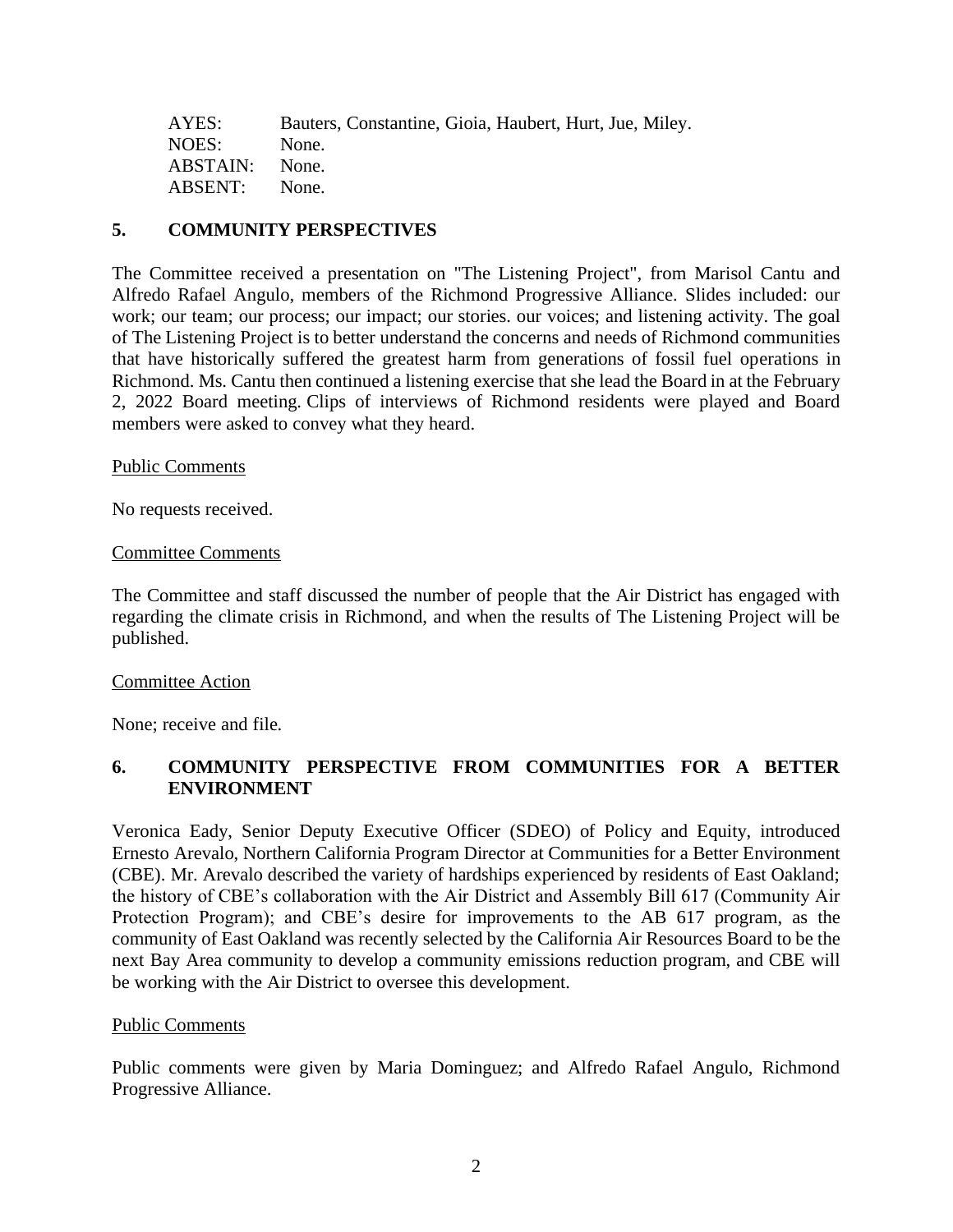| AYES:         | Bauters, Constantine, Gioia, Haubert, Hurt, Jue, Miley. |
|---------------|---------------------------------------------------------|
| NOES:         | None.                                                   |
| ABSTAIN:      | None.                                                   |
| ABSENT: None. |                                                         |

## **5. COMMUNITY PERSPECTIVES**

The Committee received a presentation on "The Listening Project", from Marisol Cantu and Alfredo Rafael Angulo, members of the Richmond Progressive Alliance. Slides included: our work; our team; our process; our impact; our stories. our voices; and listening activity. The goal of The Listening Project is to better understand the concerns and needs of Richmond communities that have historically suffered the greatest harm from generations of fossil fuel operations in Richmond. Ms. Cantu then continued a listening exercise that she lead the Board in at the February 2, 2022 Board meeting. Clips of interviews of Richmond residents were played and Board members were asked to convey what they heard.

#### Public Comments

No requests received.

#### Committee Comments

The Committee and staff discussed the number of people that the Air District has engaged with regarding the climate crisis in Richmond, and when the results of The Listening Project will be published.

### Committee Action

None; receive and file.

# **6. COMMUNITY PERSPECTIVE FROM COMMUNITIES FOR A BETTER ENVIRONMENT**

Veronica Eady, Senior Deputy Executive Officer (SDEO) of Policy and Equity, introduced Ernesto Arevalo, Northern California Program Director at Communities for a Better Environment (CBE). Mr. Arevalo described the variety of hardships experienced by residents of East Oakland; the history of CBE's collaboration with the Air District and Assembly Bill 617 (Community Air Protection Program); and CBE's desire for improvements to the AB 617 program, as the community of East Oakland was recently selected by the California Air Resources Board to be the next Bay Area community to develop a community emissions reduction program, and CBE will be working with the Air District to oversee this development.

#### Public Comments

Public comments were given by Maria Dominguez; and Alfredo Rafael Angulo, Richmond Progressive Alliance.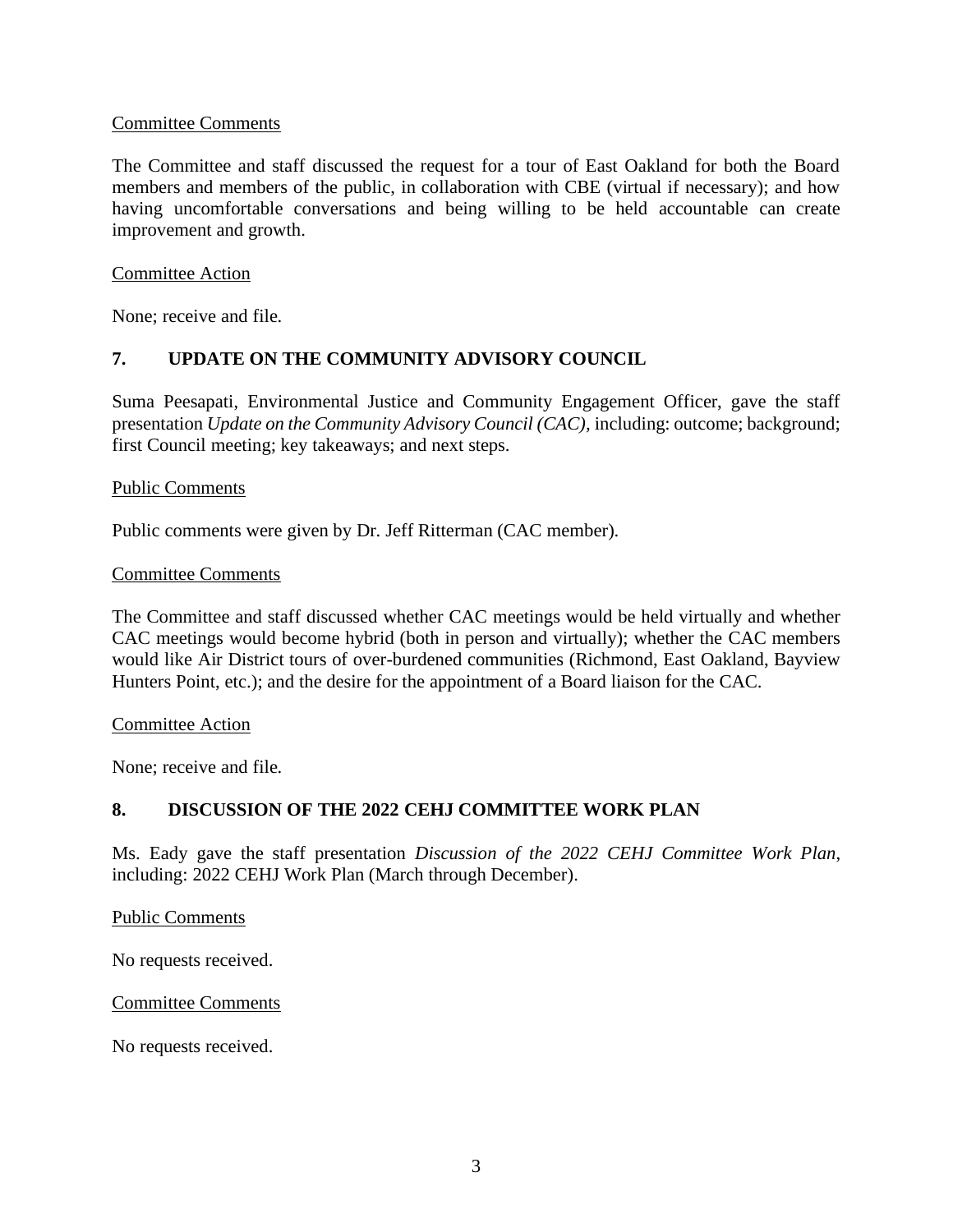### Committee Comments

The Committee and staff discussed the request for a tour of East Oakland for both the Board members and members of the public, in collaboration with CBE (virtual if necessary); and how having uncomfortable conversations and being willing to be held accountable can create improvement and growth.

### Committee Action

None; receive and file.

# **7. UPDATE ON THE COMMUNITY ADVISORY COUNCIL**

Suma Peesapati, Environmental Justice and Community Engagement Officer, gave the staff presentation *Update on the Community Advisory Council (CAC),* including: outcome; background; first Council meeting; key takeaways; and next steps.

### Public Comments

Public comments were given by Dr. Jeff Ritterman (CAC member).

### Committee Comments

The Committee and staff discussed whether CAC meetings would be held virtually and whether CAC meetings would become hybrid (both in person and virtually); whether the CAC members would like Air District tours of over-burdened communities (Richmond, East Oakland, Bayview Hunters Point, etc.); and the desire for the appointment of a Board liaison for the CAC.

### Committee Action

None; receive and file.

# **8. DISCUSSION OF THE 2022 CEHJ COMMITTEE WORK PLAN**

Ms. Eady gave the staff presentation *Discussion of the 2022 CEHJ Committee Work Plan*, including: 2022 CEHJ Work Plan (March through December).

Public Comments

No requests received.

### Committee Comments

No requests received.